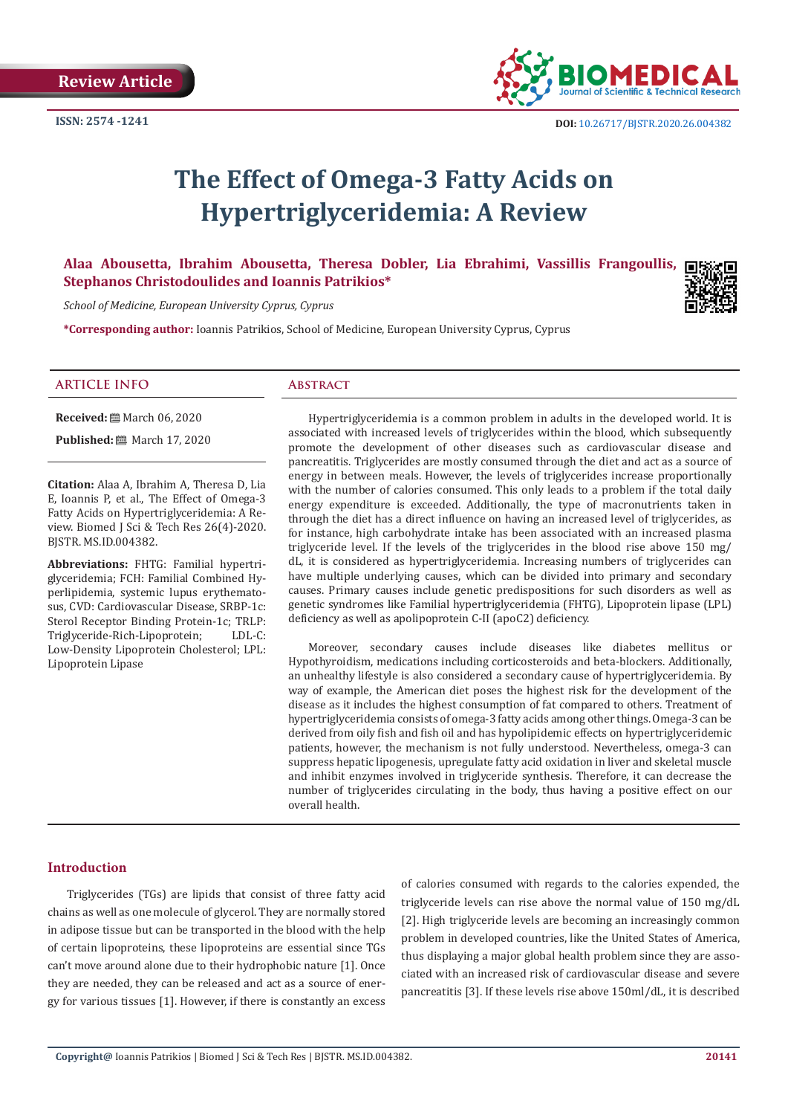

# **The Effect of Omega-3 Fatty Acids on Hypertriglyceridemia: A Review**

## **Alaa Abousetta, Ibrahim Abousetta, Theresa Dobler, Lia Ebrahimi, Vassillis Frangoullis, Stephanos Christodoulides and Ioannis Patrikios\***

*School of Medicine, European University Cyprus, Cyprus*

**\*Corresponding author:** Ioannis Patrikios, School of Medicine, European University Cyprus, Cyprus

#### **ARTICLE INFO Abstract**

**Received:** March 06, 2020

**Published:** ■ March 17, 2020

**Citation:** Alaa A, Ibrahim A, Theresa D, Lia E, Ioannis P, et al., The Effect of Omega-3 Fatty Acids on Hypertriglyceridemia: A Review. Biomed J Sci & Tech Res 26(4)-2020. BJSTR. MS.ID.004382.

**Abbreviations:** FHTG: Familial hypertriglyceridemia; FCH: Familial Combined Hyperlipidemia, systemic lupus erythematosus, CVD: Cardiovascular Disease, SRBP-1c: Sterol Receptor Binding Protein-1c; TRLP:<br>Triglyceride-Rich-Linonrotein: LDL-C: Triglyceride-Rich-Lipoprotein; Low-Density Lipoprotein Cholesterol; LPL: Lipoprotein Lipase

Hypertriglyceridemia is a common problem in adults in the developed world. It is associated with increased levels of triglycerides within the blood, which subsequently promote the development of other diseases such as cardiovascular disease and pancreatitis. Triglycerides are mostly consumed through the diet and act as a source of energy in between meals. However, the levels of triglycerides increase proportionally with the number of calories consumed. This only leads to a problem if the total daily energy expenditure is exceeded. Additionally, the type of macronutrients taken in through the diet has a direct influence on having an increased level of triglycerides, as for instance, high carbohydrate intake has been associated with an increased plasma triglyceride level. If the levels of the triglycerides in the blood rise above 150 mg/ dL, it is considered as hypertriglyceridemia. Increasing numbers of triglycerides can have multiple underlying causes, which can be divided into primary and secondary causes. Primary causes include genetic predispositions for such disorders as well as genetic syndromes like Familial hypertriglyceridemia (FHTG), Lipoprotein lipase (LPL) deficiency as well as apolipoprotein C-II (apoC2) deficiency.

Moreover, secondary causes include diseases like diabetes mellitus or Hypothyroidism, medications including corticosteroids and beta-blockers. Additionally, an unhealthy lifestyle is also considered a secondary cause of hypertriglyceridemia. By way of example, the American diet poses the highest risk for the development of the disease as it includes the highest consumption of fat compared to others. Treatment of hypertriglyceridemia consists of omega-3 fatty acids among other things. Omega-3 can be derived from oily fish and fish oil and has hypolipidemic effects on hypertriglyceridemic patients, however, the mechanism is not fully understood. Nevertheless, omega-3 can suppress hepatic lipogenesis, upregulate fatty acid oxidation in liver and skeletal muscle and inhibit enzymes involved in triglyceride synthesis. Therefore, it can decrease the number of triglycerides circulating in the body, thus having a positive effect on our overall health.

#### **Introduction**

Triglycerides (TGs) are lipids that consist of three fatty acid chains as well as one molecule of glycerol. They are normally stored in adipose tissue but can be transported in the blood with the help of certain lipoproteins, these lipoproteins are essential since TGs can't move around alone due to their hydrophobic nature [1]. Once they are needed, they can be released and act as a source of energy for various tissues [1]. However, if there is constantly an excess

of calories consumed with regards to the calories expended, the triglyceride levels can rise above the normal value of 150 mg/dL [2]. High triglyceride levels are becoming an increasingly common problem in developed countries, like the United States of America, thus displaying a major global health problem since they are associated with an increased risk of cardiovascular disease and severe pancreatitis [3]. If these levels rise above 150ml/dL, it is described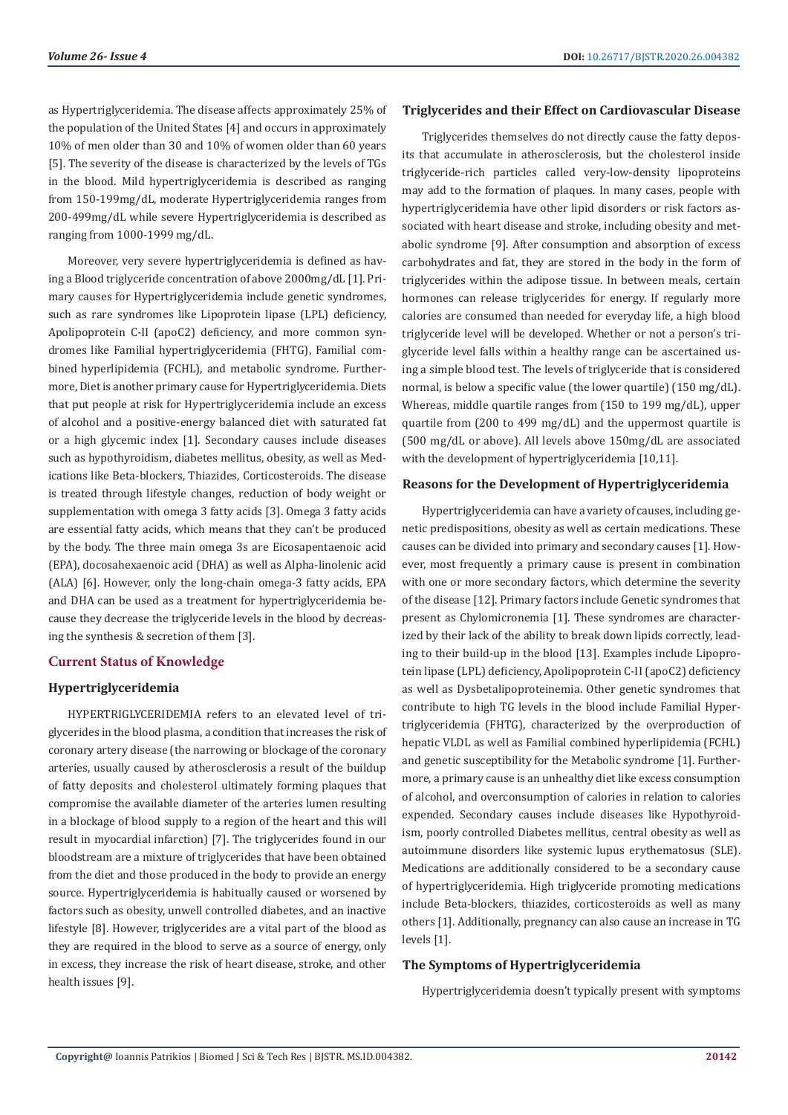as Hypertriglyceridemia. The disease affects approximately 25% of the population of the United States [4] and occurs in approximately 10% of men older than 30 and 10% of women older than 60 years [5]. The severity of the disease is characterized by the levels of TGs in the blood. Mild hypertriglyceridemia is described as ranging from 150-199mg/dL, moderate Hypertriglyceridemia ranges from 200-499mg/dL while severe Hypertriglyceridemia is described as ranging from 1000-1999 mg/dL.

Moreover, very severe hypertriglyceridemia is defined as having a Blood triglyceride concentration of above 2000mg/dL [1]. Primary causes for Hypertriglyceridemia include genetic syndromes, such as rare syndromes like Lipoprotein lipase (LPL) deficiency, Apolipoprotein C-II (apoC2) deficiency, and more common syndromes like Familial hypertriglyceridemia (FHTG), Familial combined hyperlipidemia (FCHL), and metabolic syndrome. Furthermore, Diet is another primary cause for Hypertriglyceridemia. Diets that put people at risk for Hypertriglyceridemia include an excess of alcohol and a positive-energy balanced diet with saturated fat or a high glycemic index [1]. Secondary causes include diseases such as hypothyroidism, diabetes mellitus, obesity, as well as Medications like Beta-blockers, Thiazides, Corticosteroids. The disease is treated through lifestyle changes, reduction of body weight or supplementation with omega 3 fatty acids [3]. Omega 3 fatty acids are essential fatty acids, which means that they can't be produced by the body. The three main omega 3s are Eicosapentaenoic acid (EPA), docosahexaenoic acid (DHA) as well as Alpha-linolenic acid (ALA) [6]. However, only the long-chain omega-3 fatty acids, EPA and DHA can be used as a treatment for hypertriglyceridemia because they decrease the triglyceride levels in the blood by decreasing the synthesis & secretion of them [3].

#### **Current Status of Knowledge**

#### **Hypertriglyceridemia**

HYPERTRIGLYCERIDEMIA refers to an elevated level of triglycerides in the blood plasma, a condition that increases the risk of coronary artery disease (the narrowing or blockage of the coronary arteries, usually caused by atherosclerosis a result of the buildup of fatty deposits and cholesterol ultimately forming plaques that compromise the available diameter of the arteries lumen resulting in a blockage of blood supply to a region of the heart and this will result in myocardial infarction) [7]. The triglycerides found in our bloodstream are a mixture of triglycerides that have been obtained from the diet and those produced in the body to provide an energy source. Hypertriglyceridemia is habitually caused or worsened by factors such as obesity, unwell controlled diabetes, and an inactive lifestyle [8]. However, triglycerides are a vital part of the blood as they are required in the blood to serve as a source of energy, only in excess, they increase the risk of heart disease, stroke, and other health issues [9].

#### **Triglycerides and their Effect on Cardiovascular Disease**

Triglycerides themselves do not directly cause the fatty deposits that accumulate in atherosclerosis, but the cholesterol inside triglyceride-rich particles called very-low-density lipoproteins may add to the formation of plaques. In many cases, people with hypertriglyceridemia have other lipid disorders or risk factors associated with heart disease and stroke, including obesity and metabolic syndrome [9]. After consumption and absorption of excess carbohydrates and fat, they are stored in the body in the form of triglycerides within the adipose tissue. In between meals, certain hormones can release triglycerides for energy. If regularly more calories are consumed than needed for everyday life, a high blood triglyceride level will be developed. Whether or not a person's triglyceride level falls within a healthy range can be ascertained using a simple blood test. The levels of triglyceride that is considered normal, is below a specific value (the lower quartile) (150 mg/dL). Whereas, middle quartile ranges from (150 to 199 mg/dL), upper quartile from (200 to 499 mg/dL) and the uppermost quartile is (500 mg/dL or above). All levels above 150mg/dL are associated with the development of hypertriglyceridemia [10,11].

#### **Reasons for the Development of Hypertriglyceridemia**

Hypertriglyceridemia can have a variety of causes, including genetic predispositions, obesity as well as certain medications. These causes can be divided into primary and secondary causes [1]. However, most frequently a primary cause is present in combination with one or more secondary factors, which determine the severity of the disease [12]. Primary factors include Genetic syndromes that present as Chylomicronemia [1]. These syndromes are characterized by their lack of the ability to break down lipids correctly, leading to their build-up in the blood [13]. Examples include Lipoprotein lipase (LPL) deficiency, Apolipoprotein C-II (apoC2) deficiency as well as Dysbetalipoproteinemia. Other genetic syndromes that contribute to high TG levels in the blood include Familial Hypertriglyceridemia (FHTG), characterized by the overproduction of hepatic VLDL as well as Familial combined hyperlipidemia (FCHL) and genetic susceptibility for the Metabolic syndrome [1]. Furthermore, a primary cause is an unhealthy diet like excess consumption of alcohol, and overconsumption of calories in relation to calories expended. Secondary causes include diseases like Hypothyroidism, poorly controlled Diabetes mellitus, central obesity as well as autoimmune disorders like systemic lupus erythematosus (SLE). Medications are additionally considered to be a secondary cause of hypertriglyceridemia. High triglyceride promoting medications include Beta-blockers, thiazides, corticosteroids as well as many others [1]. Additionally, pregnancy can also cause an increase in TG levels [1].

#### **The Symptoms of Hypertriglyceridemia**

Hypertriglyceridemia doesn't typically present with symptoms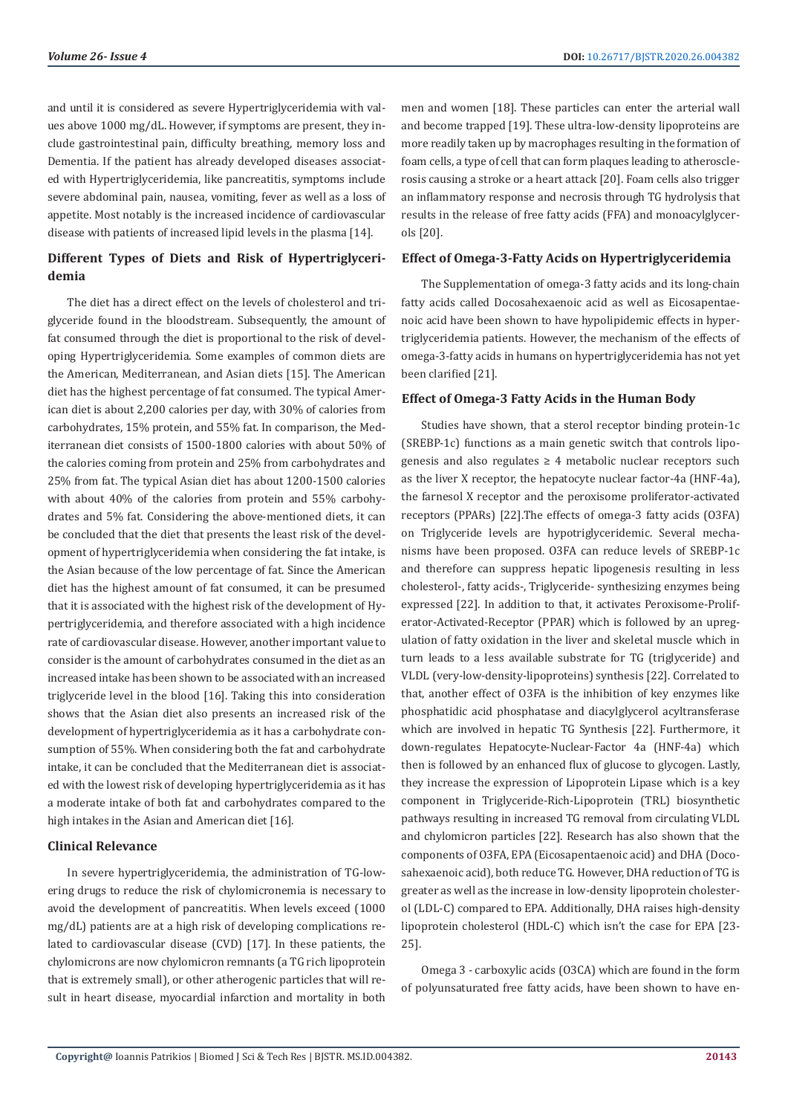and until it is considered as severe Hypertriglyceridemia with values above 1000 mg/dL. However, if symptoms are present, they include gastrointestinal pain, difficulty breathing, memory loss and Dementia. If the patient has already developed diseases associated with Hypertriglyceridemia, like pancreatitis, symptoms include severe abdominal pain, nausea, vomiting, fever as well as a loss of appetite. Most notably is the increased incidence of cardiovascular disease with patients of increased lipid levels in the plasma [14].

# **Different Types of Diets and Risk of Hypertriglyceridemia**

The diet has a direct effect on the levels of cholesterol and triglyceride found in the bloodstream. Subsequently, the amount of fat consumed through the diet is proportional to the risk of developing Hypertriglyceridemia. Some examples of common diets are the American, Mediterranean, and Asian diets [15]. The American diet has the highest percentage of fat consumed. The typical American diet is about 2,200 calories per day, with 30% of calories from carbohydrates, 15% protein, and 55% fat. In comparison, the Mediterranean diet consists of 1500-1800 calories with about 50% of the calories coming from protein and 25% from carbohydrates and 25% from fat. The typical Asian diet has about 1200-1500 calories with about 40% of the calories from protein and 55% carbohydrates and 5% fat. Considering the above-mentioned diets, it can be concluded that the diet that presents the least risk of the development of hypertriglyceridemia when considering the fat intake, is the Asian because of the low percentage of fat. Since the American diet has the highest amount of fat consumed, it can be presumed that it is associated with the highest risk of the development of Hypertriglyceridemia, and therefore associated with a high incidence rate of cardiovascular disease. However, another important value to consider is the amount of carbohydrates consumed in the diet as an increased intake has been shown to be associated with an increased triglyceride level in the blood [16]. Taking this into consideration shows that the Asian diet also presents an increased risk of the development of hypertriglyceridemia as it has a carbohydrate consumption of 55%. When considering both the fat and carbohydrate intake, it can be concluded that the Mediterranean diet is associated with the lowest risk of developing hypertriglyceridemia as it has a moderate intake of both fat and carbohydrates compared to the high intakes in the Asian and American diet [16].

#### **Clinical Relevance**

In severe hypertriglyceridemia, the administration of TG-lowering drugs to reduce the risk of chylomicronemia is necessary to avoid the development of pancreatitis. When levels exceed (1000 mg/dL) patients are at a high risk of developing complications related to cardiovascular disease (CVD) [17]. In these patients, the chylomicrons are now chylomicron remnants (a TG rich lipoprotein that is extremely small), or other atherogenic particles that will result in heart disease, myocardial infarction and mortality in both men and women [18]. These particles can enter the arterial wall and become trapped [19]. These ultra-low-density lipoproteins are more readily taken up by macrophages resulting in the formation of foam cells, a type of cell that can form plaques leading to atherosclerosis causing a stroke or a heart attack [20]. Foam cells also trigger an inflammatory response and necrosis through TG hydrolysis that results in the release of free fatty acids (FFA) and monoacylglycerols [20].

#### **Effect of Omega-3-Fatty Acids on Hypertriglyceridemia**

The Supplementation of omega-3 fatty acids and its long-chain fatty acids called Docosahexaenoic acid as well as Eicosapentaenoic acid have been shown to have hypolipidemic effects in hypertriglyceridemia patients. However, the mechanism of the effects of omega-3-fatty acids in humans on hypertriglyceridemia has not yet been clarified [21].

#### **Effect of Omega-3 Fatty Acids in the Human Body**

Studies have shown, that a sterol receptor binding protein-1c (SREBP-1c) functions as a main genetic switch that controls lipogenesis and also regulates  $\geq 4$  metabolic nuclear receptors such as the liver X receptor, the hepatocyte nuclear factor-4a (HNF-4a), the farnesol X receptor and the peroxisome proliferator-activated receptors (PPARs) [22].The effects of omega-3 fatty acids (O3FA) on Triglyceride levels are hypotriglyceridemic. Several mechanisms have been proposed. O3FA can reduce levels of SREBP-1c and therefore can suppress hepatic lipogenesis resulting in less cholesterol-, fatty acids-, Triglyceride- synthesizing enzymes being expressed [22]. In addition to that, it activates Peroxisome-Proliferator-Activated-Receptor (PPAR) which is followed by an upregulation of fatty oxidation in the liver and skeletal muscle which in turn leads to a less available substrate for TG (triglyceride) and VLDL (very-low-density-lipoproteins) synthesis [22]. Correlated to that, another effect of O3FA is the inhibition of key enzymes like phosphatidic acid phosphatase and diacylglycerol acyltransferase which are involved in hepatic TG Synthesis [22]. Furthermore, it down-regulates Hepatocyte-Nuclear-Factor 4a (HNF-4a) which then is followed by an enhanced flux of glucose to glycogen. Lastly, they increase the expression of Lipoprotein Lipase which is a key component in Triglyceride-Rich-Lipoprotein (TRL) biosynthetic pathways resulting in increased TG removal from circulating VLDL and chylomicron particles [22]. Research has also shown that the components of O3FA, EPA (Eicosapentaenoic acid) and DHA (Docosahexaenoic acid), both reduce TG. However, DHA reduction of TG is greater as well as the increase in low-density lipoprotein cholesterol (LDL-C) compared to EPA. Additionally, DHA raises high-density lipoprotein cholesterol (HDL-C) which isn't the case for EPA [23- 25].

Omega 3 - carboxylic acids (O3CA) which are found in the form of polyunsaturated free fatty acids, have been shown to have en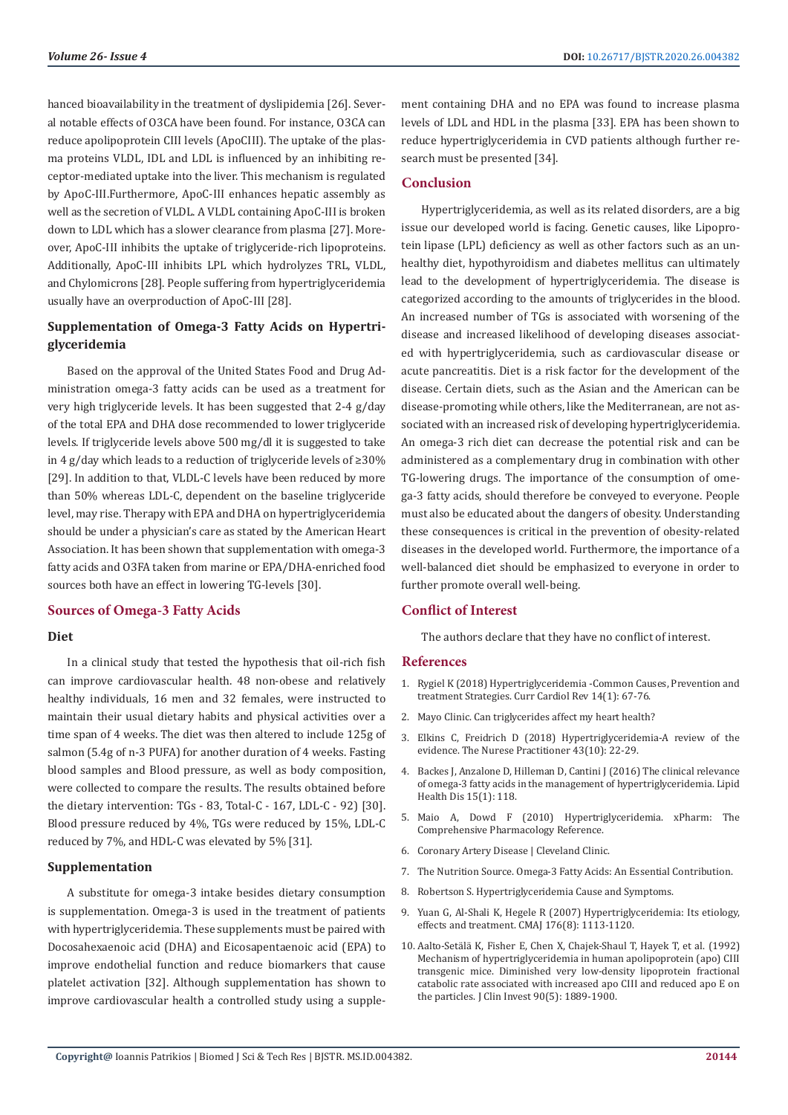hanced bioavailability in the treatment of dyslipidemia [26]. Several notable effects of O3CA have been found. For instance, O3CA can reduce apolipoprotein CIII levels (ApoCIII). The uptake of the plasma proteins VLDL, IDL and LDL is influenced by an inhibiting receptor-mediated uptake into the liver. This mechanism is regulated by ApoC-III.Furthermore, ApoC-III enhances hepatic assembly as well as the secretion of VLDL. A VLDL containing ApoC-III is broken down to LDL which has a slower clearance from plasma [27]. Moreover, ApoC-III inhibits the uptake of triglyceride-rich lipoproteins. Additionally, ApoC-III inhibits LPL which hydrolyzes TRL, VLDL, and Chylomicrons [28]. People suffering from hypertriglyceridemia usually have an overproduction of ApoC-III [28].

### **Supplementation of Omega-3 Fatty Acids on Hypertriglyceridemia**

Based on the approval of the United States Food and Drug Administration omega-3 fatty acids can be used as a treatment for very high triglyceride levels. It has been suggested that 2-4 g/day of the total EPA and DHA dose recommended to lower triglyceride levels. If triglyceride levels above 500 mg/dl it is suggested to take in 4 g/day which leads to a reduction of triglyceride levels of ≥30% [29]. In addition to that, VLDL-C levels have been reduced by more than 50% whereas LDL-C, dependent on the baseline triglyceride level, may rise. Therapy with EPA and DHA on hypertriglyceridemia should be under a physician's care as stated by the American Heart Association. It has been shown that supplementation with omega-3 fatty acids and O3FA taken from marine or EPA/DHA-enriched food sources both have an effect in lowering TG-levels [30].

#### **Sources of Omega-3 Fatty Acids**

#### **Diet**

In a clinical study that tested the hypothesis that oil-rich fish can improve cardiovascular health. 48 non-obese and relatively healthy individuals, 16 men and 32 females, were instructed to maintain their usual dietary habits and physical activities over a time span of 4 weeks. The diet was then altered to include 125g of salmon (5.4g of n-3 PUFA) for another duration of 4 weeks. Fasting blood samples and Blood pressure, as well as body composition, were collected to compare the results. The results obtained before the dietary intervention: TGs - 83, Total-C - 167, LDL-C - 92) [30]. Blood pressure reduced by 4%, TGs were reduced by 15%, LDL-C reduced by 7%, and HDL-C was elevated by 5% [31].

#### **Supplementation**

A substitute for omega-3 intake besides dietary consumption is supplementation. Omega-3 is used in the treatment of patients with hypertriglyceridemia. These supplements must be paired with Docosahexaenoic acid (DHA) and Eicosapentaenoic acid (EPA) to improve endothelial function and reduce biomarkers that cause platelet activation [32]. Although supplementation has shown to improve cardiovascular health a controlled study using a supplement containing DHA and no EPA was found to increase plasma levels of LDL and HDL in the plasma [33]. EPA has been shown to reduce hypertriglyceridemia in CVD patients although further research must be presented [34].

#### **Conclusion**

Hypertriglyceridemia, as well as its related disorders, are a big issue our developed world is facing. Genetic causes, like Lipoprotein lipase (LPL) deficiency as well as other factors such as an unhealthy diet, hypothyroidism and diabetes mellitus can ultimately lead to the development of hypertriglyceridemia. The disease is categorized according to the amounts of triglycerides in the blood. An increased number of TGs is associated with worsening of the disease and increased likelihood of developing diseases associated with hypertriglyceridemia, such as cardiovascular disease or acute pancreatitis. Diet is a risk factor for the development of the disease. Certain diets, such as the Asian and the American can be disease-promoting while others, like the Mediterranean, are not associated with an increased risk of developing hypertriglyceridemia. An omega-3 rich diet can decrease the potential risk and can be administered as a complementary drug in combination with other TG-lowering drugs. The importance of the consumption of omega-3 fatty acids, should therefore be conveyed to everyone. People must also be educated about the dangers of obesity. Understanding these consequences is critical in the prevention of obesity-related diseases in the developed world. Furthermore, the importance of a well-balanced diet should be emphasized to everyone in order to further promote overall well-being.

#### **Conflict of Interest**

The authors declare that they have no conflict of interest.

#### **References**

- 1. [Rygiel K \(2018\) Hypertriglyceridemia -Common Causes, Prevention and](https://www.ncbi.nlm.nih.gov/pubmed/29366425) [treatment Strategies. Curr Cardiol Rev 14\(1\): 67-76.](https://www.ncbi.nlm.nih.gov/pubmed/29366425)
- 2. [Mayo Clinic. Can triglycerides affect my heart health?](https://www.mayoclinic.org/diseases-conditions/high-blood-cholesterol/in-depth/triglycerides/art-20048186)
- 3. [Elkins C, Freidrich D \(2018\) Hypertriglyceridemia-A review of the](https://www.nursingcenter.com/cearticle?an=00006205-201810000-00006&Journal_ID=54012&Issue_ID=4793298) [evidence. The Nurese Practitioner 43\(10\): 22-29.](https://www.nursingcenter.com/cearticle?an=00006205-201810000-00006&Journal_ID=54012&Issue_ID=4793298)
- 4. [Backes J, Anzalone D, Hilleman D, Cantini J \(2016\) The clinical relevance](https://www.ncbi.nlm.nih.gov/pubmed/27444154) [of omega-3 fatty acids in the management of hypertriglyceridemia. Lipid](https://www.ncbi.nlm.nih.gov/pubmed/27444154) [Health Dis 15\(1\): 118.](https://www.ncbi.nlm.nih.gov/pubmed/27444154)
- 5. Maio A, Dowd F (2010) Hypertriglyceridemia. xPharm: The Comprehensive Pharmacology Reference.
- 6. [Coronary Artery Disease | Cleveland Clinic.](https://my.clevelandclinic.org/health/diseases/16898-coronary-artery-disease)
- 7. [The Nutrition Source. Omega-3 Fatty Acids: An Essential Contribution](https://www.hsph.harvard.edu/nutritionsource/what-should-you-eat/fats-and-cholesterol/types-of-fat/omega-3-fats/).
- 8. [Robertson S. Hypertriglyceridemia Cause and Symptoms.](https://www.news-medical.net/health/Hypertriglyceridemia-Cause-and-Symptoms.aspx)
- 9. [Yuan G, Al-Shali K, Hegele R \(2007\) Hypertriglyceridemia: Its etiology,](https://www.ncbi.nlm.nih.gov/pubmed/17420495) [effects and treatment. CMAJ 176\(8\): 1113-1120.](https://www.ncbi.nlm.nih.gov/pubmed/17420495)
- 10. [Aalto-Setälä K, Fisher E, Chen X, Chajek-Shaul T, Hayek T, et al. \(1992\)](https://www.ncbi.nlm.nih.gov/pubmed/1430212) [Mechanism of hypertriglyceridemia in human apolipoprotein \(apo\) CIII](https://www.ncbi.nlm.nih.gov/pubmed/1430212) [transgenic mice. Diminished very low-density lipoprotein fractional](https://www.ncbi.nlm.nih.gov/pubmed/1430212) [catabolic rate associated with increased apo CIII and reduced apo E on](https://www.ncbi.nlm.nih.gov/pubmed/1430212) [the particles. J Clin Invest 90\(5\): 1889-1900.](https://www.ncbi.nlm.nih.gov/pubmed/1430212)